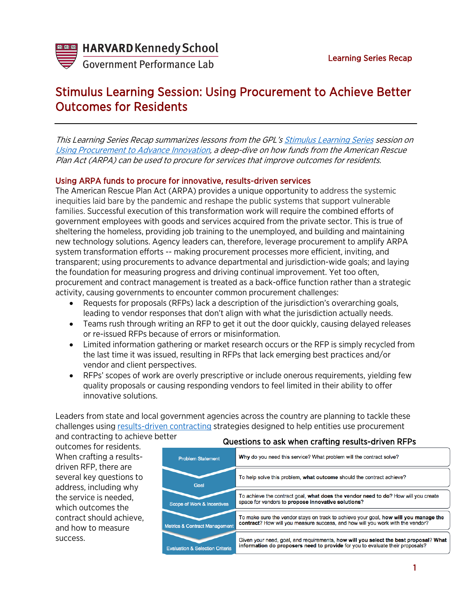

**Government Performance Lab** 

# Stimulus Learning Session: Using Procurement to Achieve Better Outcomes for Residents

This Learning Series Recap summarizes lessons from the GPL's [Stimulus Learning Series](https://govlab.hks.harvard.edu/stimulus-learning-series) session on [Using Procurement to Advance Innovation,](https://harvard.zoom.us/rec/play/-qa6P1iN33Cm-yqZQyq7aH8iDpO5VhmTWUx67RCk44dqe_oFxNcMEyCdbkdDQM20HwHulflyzGiKHTE-.MWGPdFFllYZimqMo?continueMode=true&_x_zm_rtaid=UxJlScd2SpyXwbaZw56YJA.1628752188557.379367eb665bcbd6b3075a0cafa84844&_x_zm_rhtaid=843) a deep-dive on how funds from the American Rescue Plan Act (ARPA) can be used to procure for services that improve outcomes for residents.

## Using ARPA funds to procure for innovative, results-driven services

The American Rescue Plan Act (ARPA) provides a unique opportunity to address the systemic inequities laid bare by the pandemic and reshape the public systems that support vulnerable families. Successful execution of this transformation work will require the combined efforts of government employees with goods and services acquired from the private sector. This is true of sheltering the homeless, providing job training to the unemployed, and building and maintaining new technology solutions. Agency leaders can, therefore, leverage procurement to amplify ARPA system transformation efforts -- making procurement processes more efficient, inviting, and transparent; using procurements to advance departmental and jurisdiction-wide goals; and laying the foundation for measuring progress and driving continual improvement. Yet too often, procurement and contract management is treated as a back-office function rather than a strategic activity, causing governments to encounter common procurement challenges:

- Requests for proposals (RFPs) lack a description of the jurisdiction's overarching goals, leading to vendor responses that don't align with what the jurisdiction actually needs.
- Teams rush through writing an RFP to get it out the door quickly, causing delayed releases or re-issued RFPs because of errors or misinformation.
- Limited information gathering or market research occurs or the RFP is simply recycled from the last time it was issued, resulting in RFPs that lack emerging best practices and/or vendor and client perspectives.
- RFPs' scopes of work are overly prescriptive or include onerous requirements, yielding few quality proposals or causing responding vendors to feel limited in their ability to offer innovative solutions.

Leaders from state and local government agencies across the country are planning to tackle these challenges using [results-driven contracting](https://govlab.hks.harvard.edu/results-driven-contracting) strategies designed to help entities use procurement

Metrics & Contract Management

and contracting to achieve better outcomes for residents. When crafting a resultsdriven RFP, there are several key questions to address, including why the service is needed, which outcomes the contract should achieve, and how to measure success.

#### Why do you need this service? What problem will the contract solve? **Problem Statement** To help solve this problem, what outcome should the contract achieve? Goal To achieve the contract goal, what does the vendor need to do? How will you create space for vendors to propose innovative solutions? Scope of Work & Incentive To make sure the vendor stays on track to achieve your goal, how will you manage the contract? How will you measure success, and how will you work with the vendor?

Questions to ask when crafting results-driven RFPs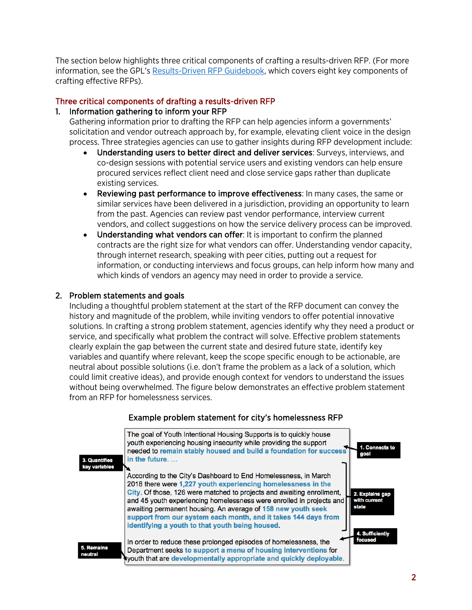The section below highlights three critical components of crafting a results-driven RFP. (For more information, see the GPL's [Results-Driven RFP Guidebook,](https://govlab.hks.harvard.edu/guidebook-crafting-results-driven-request-proposals-rfp) which covers eight key components of crafting effective RFPs).

## Three critical components of drafting a results-driven RFP

# 1. Information gathering to inform your RFP

Gathering information prior to drafting the RFP can help agencies inform a governments' solicitation and vendor outreach approach by, for example, elevating client voice in the design process. Three strategies agencies can use to gather insights during RFP development include:

- Understanding users to better direct and deliver services: Surveys, interviews, and co-design sessions with potential service users and existing vendors can help ensure procured services reflect client need and close service gaps rather than duplicate existing services.
- Reviewing past performance to improve effectiveness: In many cases, the same or similar services have been delivered in a jurisdiction, providing an opportunity to learn from the past. Agencies can review past vendor performance, interview current vendors, and collect suggestions on how the service delivery process can be improved.
- Understanding what vendors can offer: It is important to confirm the planned contracts are the right size for what vendors can offer. Understanding vendor capacity, through internet research, speaking with peer cities, putting out a request for information, or conducting interviews and focus groups, can help inform how many and which kinds of vendors an agency may need in order to provide a service.

## 2. Problem statements and goals

Including a thoughtful problem statement at the start of the RFP document can convey the history and magnitude of the problem, while inviting vendors to offer potential innovative solutions. In crafting a strong problem statement, agencies identify why they need a product or service, and specifically what problem the contract will solve. Effective problem statements clearly explain the gap between the current state and desired future state, identify key variables and quantify where relevant, keep the scope specific enough to be actionable, are neutral about possible solutions (i.e. don't frame the problem as a lack of a solution, which could limit creative ideas), and provide enough context for vendors to understand the issues without being overwhelmed. The figure below demonstrates an effective problem statement from an RFP for homelessness services.



## Example problem statement for city's homelessness RFP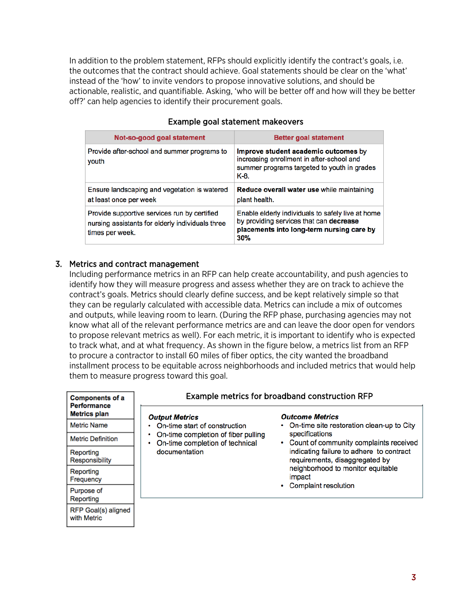In addition to the problem statement, RFPs should explicitly identify the contract's goals, i.e. the outcomes that the contract should achieve. Goal statements should be clear on the 'what' instead of the 'how' to invite vendors to propose innovative solutions, and should be actionable, realistic, and quantifiable. Asking, 'who will be better off and how will they be better off?' can help agencies to identify their procurement goals.

| Not-so-good goal statement                                                                                          | <b>Better goal statement</b>                                                                                                                     |
|---------------------------------------------------------------------------------------------------------------------|--------------------------------------------------------------------------------------------------------------------------------------------------|
| Provide after-school and summer programs to<br>youth                                                                | Improve student academic outcomes by<br>increasing enrollment in after-school and<br>summer programs targeted to youth in grades<br>K-8.         |
| Ensure landscaping and vegetation is watered<br>at least once per week                                              | Reduce overall water use while maintaining<br>plant health.                                                                                      |
| Provide supportive services run by certified<br>nursing assistants for elderly individuals three<br>times per week. | Enable elderly individuals to safely live at home<br>by providing services that can decrease<br>placements into long-term nursing care by<br>30% |

#### Example goal statement makeovers

#### 3. Metrics and contract management

Including performance metrics in an RFP can help create accountability, and push agencies to identify how they will measure progress and assess whether they are on track to achieve the contract's goals. Metrics should clearly define success, and be kept relatively simple so that they can be regularly calculated with accessible data. Metrics can include a mix of outcomes and outputs, while leaving room to learn. (During the RFP phase, purchasing agencies may not know what all of the relevant performance metrics are and can leave the door open for vendors to propose relevant metrics as well). For each metric, it is important to identify who is expected to track what, and at what frequency. As shown in the figure below, a metrics list from an RFP to procure a contractor to install 60 miles of fiber optics, the city wanted the broadband installment process to be equitable across neighborhoods and included metrics that would help them to measure progress toward this goal.

| <b>Components of a</b><br><b>Performance</b> | Example metrics for broadband construction RFP                                                    |                                                                                                                                                                                         |
|----------------------------------------------|---------------------------------------------------------------------------------------------------|-----------------------------------------------------------------------------------------------------------------------------------------------------------------------------------------|
| <b>Metrics plan</b>                          | <b>Output Metrics</b>                                                                             | <b>Outcome Metrics</b>                                                                                                                                                                  |
| <b>Metric Name</b>                           | On-time start of construction                                                                     | • On-time site restoration clean-up to City                                                                                                                                             |
| <b>Metric Definition</b>                     | On-time completion of fiber pulling<br>۰<br>On-time completion of technical<br>۰<br>documentation | specifications<br>• Count of community complaints received<br>indicating failure to adhere to contract<br>requirements, disaggregated by<br>neighborhood to monitor equitable<br>impact |
| Reporting<br>Responsibility                  |                                                                                                   |                                                                                                                                                                                         |
| Reporting<br>Frequency                       |                                                                                                   |                                                                                                                                                                                         |
| Purpose of<br>Reporting                      |                                                                                                   | <b>Complaint resolution</b>                                                                                                                                                             |
| RFP Goal(s) aligned<br>with Metric           |                                                                                                   |                                                                                                                                                                                         |